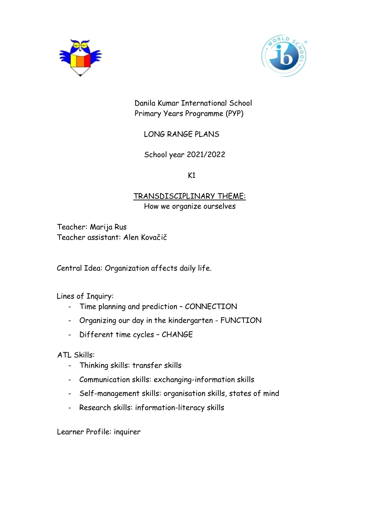



 Danila Kumar International School Primary Years Programme (PYP)

LONG RANGE PLANS

School year 2021/2022

 $K1$ 

## TRANSDISCIPLINARY THEME: How we organize ourselves

Teacher: Marija Rus Teacher assistant: Alen Kovačič

Central Idea: Organization affects daily life.

Lines of Inquiry:

- Time planning and prediction CONNECTION
- Organizing our day in the kindergarten FUNCTION
- Different time cycles CHANGE

ATL Skills:

- Thinking skills: transfer skills
- Communication skills: exchanging-information skills
- Self-management skills: organisation skills, states of mind
- Research skills: information-literacy skills

Learner Profile: inquirer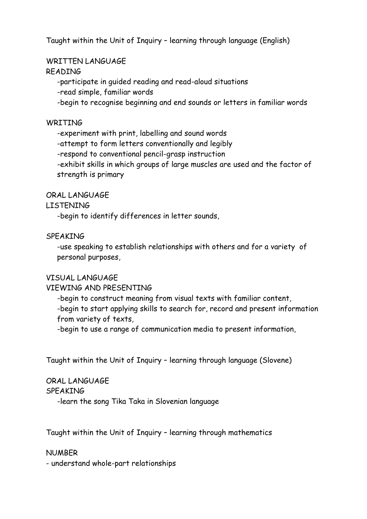Taught within the Unit of Inquiry – learning through language (English)

# WRITTEN LANGUAGE

## READING

-participate in guided reading and read-aloud situations

-read simple, familiar words

-begin to recognise beginning and end sounds or letters in familiar words

## **WRITING**

-experiment with print, labelling and sound words

-attempt to form letters conventionally and legibly

-respond to conventional pencil-grasp instruction

-exhibit skills in which groups of large muscles are used and the factor of strength is primary

### ORAL LANGUAGE

## LISTENING

-begin to identify differences in letter sounds,

## SPEAKING

-use speaking to establish relationships with others and for a variety of personal purposes,

## VISUAL LANGUAGE

## VIEWING AND PRESENTING

-begin to construct meaning from visual texts with familiar content, -begin to start applying skills to search for, record and present information from variety of texts,

-begin to use a range of communication media to present information,

Taught within the Unit of Inquiry – learning through language (Slovene)

## ORAL LANGUAGE

### SPEAKING

-learn the song Tika Taka in Slovenian language

Taught within the Unit of Inquiry – learning through mathematics

## NUMBER

- understand whole-part relationships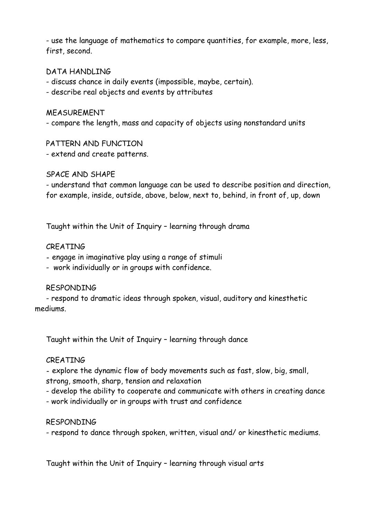- use the language of mathematics to compare quantities, for example, more, less, first, second.

### DATA HANDLING

- discuss chance in daily events (impossible, maybe, certain).

- describe real objects and events by attributes

#### MEASUREMENT

- compare the length, mass and capacity of objects using nonstandard units

#### PATTERN AND FUNCTION

- extend and create patterns.

#### SPACE AND SHAPE

- understand that common language can be used to describe position and direction, for example, inside, outside, above, below, next to, behind, in front of, up, down

Taught within the Unit of Inquiry – learning through drama

#### **CREATING**

**-** engage in imaginative play using a range of stimuli

- work individually or in groups with confidence.

#### RESPONDING

- respond to dramatic ideas through spoken, visual, auditory and kinesthetic mediums.

Taught within the Unit of Inquiry – learning through dance

#### CREATING

**-** explore the dynamic flow of body movements such as fast, slow, big, small, strong, smooth, sharp, tension and relaxation

- develop the ability to cooperate and communicate with others in creating dance

- work individually or in groups with trust and confidence

### RESPONDING

- respond to dance through spoken, written, visual and/ or kinesthetic mediums.

Taught within the Unit of Inquiry – learning through visual arts